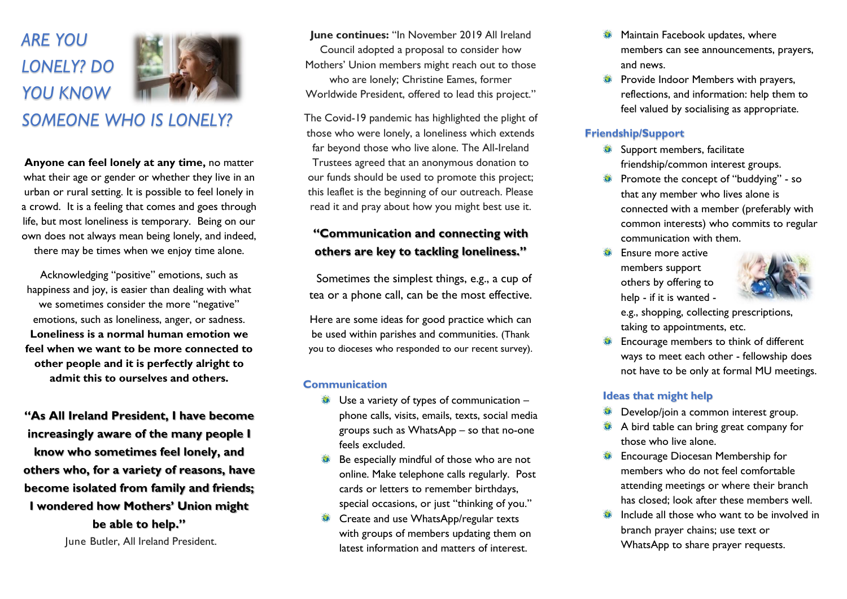# *ARE YOU LONELY? DO YOU KNOW*



*SOMEONE WHO IS LONELY?*

**Anyone can feel lonely at any time,** no matter what their age or gender or whether they live in an urban or rural setting. It is possible to feel lonely in a crowd. It is a feeling that comes and goes through life, but most loneliness is temporary. Being on our own does not always mean being lonely, and indeed, there may be times when we enjoy time alone.

Acknowledging "positive" emotions, such as happiness and joy, is easier than dealing with what we sometimes consider the more "negative" emotions, such as loneliness, anger, or sadness. **Loneliness is a normal human emotion we feel when we want to be more connected to other people and it is perfectly alright to admit this to ourselves and others.**

**"As All Ireland President, I have become increasingly aware of the many people I know who sometimes feel lonely, and others who, for a variety of reasons, have become isolated from family and friends; I wondered how Mothers' Union might be able to help."**

June Butler, All Ireland President.

**June continues:** "In November 2019 All Ireland Council adopted a proposal to consider how Mothers' Union members might reach out to those who are lonely; Christine Eames, former Worldwide President, offered to lead this project."

The Covid-19 pandemic has highlighted the plight of those who were lonely, a loneliness which extends far beyond those who live alone. The All-Ireland Trustees agreed that an anonymous donation to our funds should be used to promote this project; this leaflet is the beginning of our outreach. Please read it and pray about how you might best use it.

# **"Communication and connecting with others are key to tackling loneliness."**

Sometimes the simplest things, e.g., a cup of tea or a phone call, can be the most effective.

Here are some ideas for good practice which can be used within parishes and communities. (Thank you to dioceses who responded to our recent survey).

### **Communication**

- Use a variety of types of communication phone calls, visits, emails, texts, social media groups such as WhatsApp – so that no-one feels excluded.
- Be especially mindful of those who are not online. Make telephone calls regularly. Post cards or letters to remember birthdays, special occasions, or just "thinking of you."
- Create and use WhatsApp/regular texts with groups of members updating them on latest information and matters of interest.
- Maintain Facebook updates, where  $\bullet$ members can see announcements, prayers, and news.
- Provide Indoor Members with prayers, reflections, and information: help them to feel valued by socialising as appropriate.

## **Friendship/Support**

- Support members, facilitate friendship/common interest groups.
- Promote the concept of "buddying" so  $\bullet$ that any member who lives alone is connected with a member (preferably with common interests) who commits to regular communication with them.
- Ensure more active  $\bullet$ members support others by offering to help - if it is wanted -



e.g., shopping, collecting prescriptions, taking to appointments, etc.

Encourage members to think of different ways to meet each other - fellowship does not have to be only at formal MU meetings.

## **Ideas that might help**

- Develop/join a common interest group.
- A bird table can bring great company for those who live alone.
- Encourage Diocesan Membership for members who do not feel comfortable attending meetings or where their branch has closed; look after these members well.
- Include all those who want to be involved in branch prayer chains; use text or WhatsApp to share prayer requests.